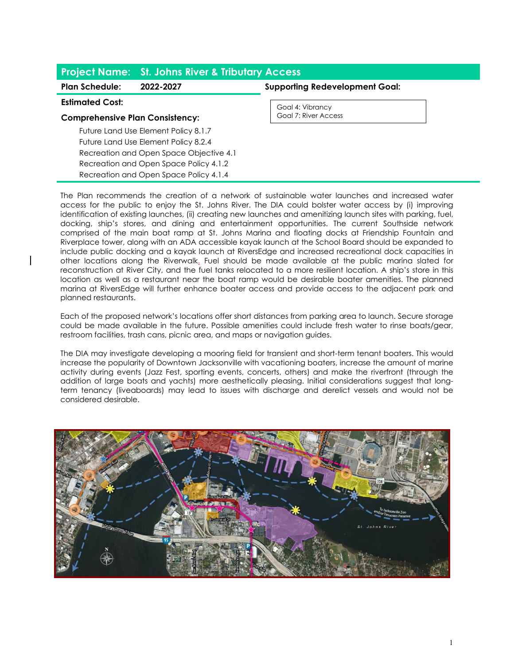| <b>Project Name: St. Johns River &amp; Tributary Access</b> |           |                                       |
|-------------------------------------------------------------|-----------|---------------------------------------|
| <b>Plan Schedule:</b>                                       | 2022-2027 | <b>Supporting Redevelopment Goal:</b> |
| <b>Estimated Cost:</b>                                      |           | Goal 4: Vibrancy                      |
| <b>Comprehensive Plan Consistency:</b>                      |           | Goal 7: River Access                  |
| Future Land Use Element Policy 8.1.7                        |           |                                       |
| Future Land Use Element Policy 8.2.4                        |           |                                       |
| Recreation and Open Space Objective 4.1                     |           |                                       |
| Recreation and Open Space Policy 4.1.2                      |           |                                       |
| Recreation and Open Space Policy 4.1.4                      |           |                                       |

The Plan recommends the creation of a network of sustainable water launches and increased water access for the public to enjoy the St. Johns River. The DIA could bolster water access by (i) improving identification of existing launches, (ii) creating new launches and amenitizing launch sites with parking, fuel, docking, ship's stores, and dining and entertainment opportunities. The current Southside network comprised of the main boat ramp at St. Johns Marina and floating docks at Friendship Fountain and Riverplace tower, along with an ADA accessible kayak launch at the School Board should be expanded to include public docking and a kayak launch at RiversEdge and increased recreational dock capacities in other locations along the Riverwalk. Fuel should be made available at the public marina slated for reconstruction at River City, and the fuel tanks relocated to a more resilient location. A ship's store in this location as well as a restaurant near the boat ramp would be desirable boater amenities. The planned marina at RiversEdge will further enhance boater access and provide access to the adjacent park and planned restaurants.

Each of the proposed network's locations offer short distances from parking area to launch. Secure storage could be made available in the future. Possible amenities could include fresh water to rinse boats/gear, restroom facilities, trash cans, picnic area, and maps or navigation guides.

The DIA may investigate developing a mooring field for transient and short-term tenant boaters. This would increase the popularity of Downtown Jacksonville with vacationing boaters, increase the amount of marine activity during events (Jazz Fest, sporting events, concerts, others) and make the riverfront (through the addition of large boats and yachts) more aesthetically pleasing. Initial considerations suggest that longterm tenancy (liveaboards) may lead to issues with discharge and derelict vessels and would not be considered desirable.

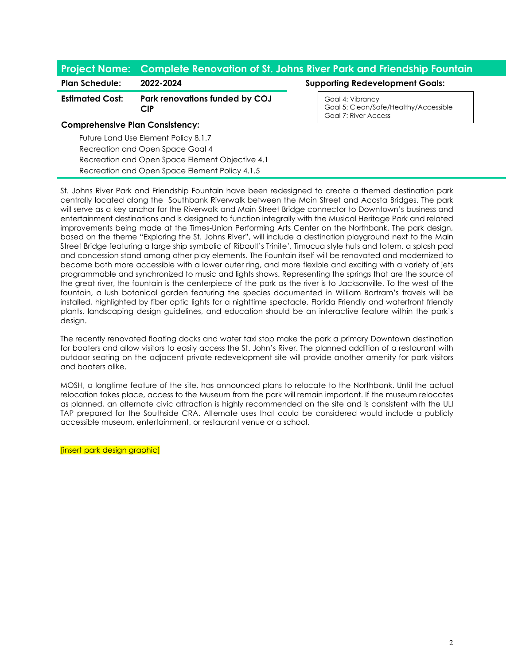# **Project Name: Complete Renovation of St. Johns River Park and Friendship Fountain**

#### **Estimated Cost: Park renovations funded by COJ CIP**

### **Comprehensive Plan Consistency:**

Future Land Use Element Policy 8.1.7 Recreation and Open Space Goal 4 Recreation and Open Space Element Objective 4.1 Recreation and Open Space Element Policy 4.1.5

# Plan Schedule: 2022-2024 **Plan Schedule:** 2022-2024

Goal 4: Vibrancy Goal 5: Clean/Safe/Healthy/Accessible Goal 7: River Access

St. Johns River Park and Friendship Fountain have been redesigned to create a themed destination park centrally located along the Southbank Riverwalk between the Main Street and Acosta Bridges. The park will serve as a key anchor for the Riverwalk and Main Street Bridge connector to Downtown's business and entertainment destinations and is designed to function integrally with the Musical Heritage Park and related improvements being made at the Times-Union Performing Arts Center on the Northbank. The park design, based on the theme "Exploring the St. Johns River", will include a destination playground next to the Main Street Bridge featuring a large ship symbolic of Ribault's Trinite', Timucua style huts and totem, a splash pad and concession stand among other play elements. The Fountain itself will be renovated and modernized to become both more accessible with a lower outer ring, and more flexible and exciting with a variety of jets programmable and synchronized to music and lights shows. Representing the springs that are the source of the great river, the fountain is the centerpiece of the park as the river is to Jacksonville. To the west of the fountain, a lush botanical garden featuring the species documented in William Bartram's travels will be installed, highlighted by fiber optic lights for a nighttime spectacle. Florida Friendly and waterfront friendly plants, landscaping design guidelines, and education should be an interactive feature within the park's design.

The recently renovated floating docks and water taxi stop make the park a primary Downtown destination for boaters and allow visitors to easily access the St. John's River. The planned addition of a restaurant with outdoor seating on the adjacent private redevelopment site will provide another amenity for park visitors and boaters alike.

MOSH, a longtime feature of the site, has announced plans to relocate to the Northbank. Until the actual relocation takes place, access to the Museum from the park will remain important. If the museum relocates as planned, an alternate civic attraction is highly recommended on the site and is consistent with the ULI TAP prepared for the Southside CRA. Alternate uses that could be considered would include a publicly accessible museum, entertainment, or restaurant venue or a school.

[insert park design graphic]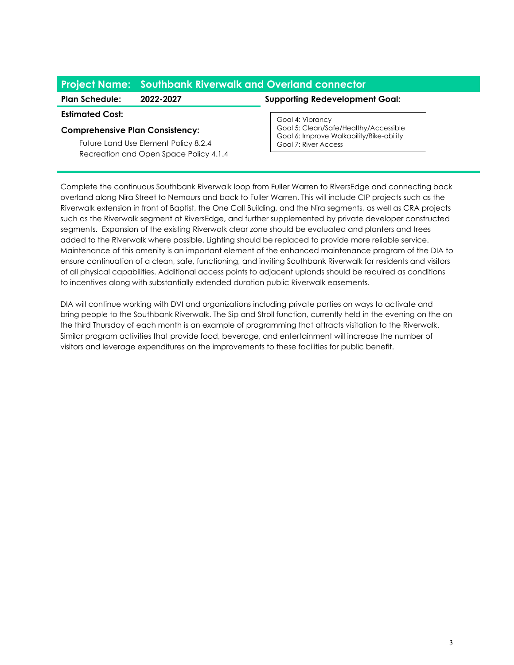# **Project Name: Southbank Riverwalk and Overland connector**

#### **Plan Schedule: 2022-2027 Supporting Redevelopment Goal:**

#### **Estimated Cost:**

# **Comprehensive Plan Consistency:**

Future Land Use Element Policy 8.2.4 Recreation and Open Space Policy 4.1.4

Goal 4: Vibrancy Goal 5: Clean/Safe/Healthy/Accessible Goal 6: Improve Walkability/Bike-ability Goal 7: River Access

Complete the continuous Southbank Riverwalk loop from Fuller Warren to RiversEdge and connecting back overland along Nira Street to Nemours and back to Fuller Warren. This will include CIP projects such as the Riverwalk extension in front of Baptist, the One Call Building, and the Nira segments, as well as CRA projects such as the Riverwalk segment at RiversEdge, and further supplemented by private developer constructed segments. Expansion of the existing Riverwalk clear zone should be evaluated and planters and trees added to the Riverwalk where possible. Lighting should be replaced to provide more reliable service. Maintenance of this amenity is an important element of the enhanced maintenance program of the DIA to ensure continuation of a clean, safe, functioning, and inviting Southbank Riverwalk for residents and visitors of all physical capabilities. Additional access points to adjacent uplands should be required as conditions to incentives along with substantially extended duration public Riverwalk easements.

DIA will continue working with DVI and organizations including private parties on ways to activate and bring people to the Southbank Riverwalk. The Sip and Stroll function, currently held in the evening on the on the third Thursday of each month is an example of programming that attracts visitation to the Riverwalk. Similar program activities that provide food, beverage, and entertainment will increase the number of visitors and leverage expenditures on the improvements to these facilities for public benefit.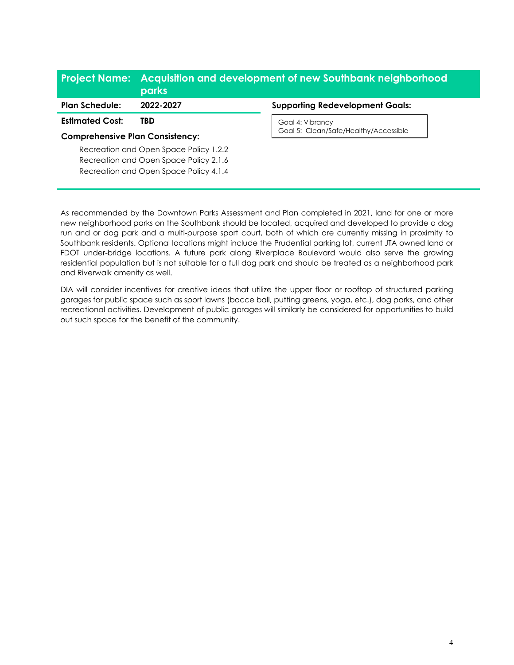# **Project Name: Acquisition and development of new Southbank neighborhood parks**

**Estimated Cost: TBD**

# **Comprehensive Plan Consistency:**

Recreation and Open Space Policy 1.2.2 Recreation and Open Space Policy 2.1.6 Recreation and Open Space Policy 4.1.4

## **Plan Schedule: 2022-2027 Supporting Redevelopment Goals:**

Goal 4: Vibrancy Goal 5: Clean/Safe/Healthy/Accessible

As recommended by the Downtown Parks Assessment and Plan completed in 2021, land for one or more new neighborhood parks on the Southbank should be located, acquired and developed to provide a dog run and or dog park and a multi-purpose sport court, both of which are currently missing in proximity to Southbank residents. Optional locations might include the Prudential parking lot, current JTA owned land or FDOT under-bridge locations. A future park along Riverplace Boulevard would also serve the growing residential population but is not suitable for a full dog park and should be treated as a neighborhood park and Riverwalk amenity as well.

DIA will consider incentives for creative ideas that utilize the upper floor or rooftop of structured parking garages for public space such as sport lawns (bocce ball, putting greens, yoga, etc.), dog parks, and other recreational activities. Development of public garages will similarly be considered for opportunities to build out such space for the benefit of the community.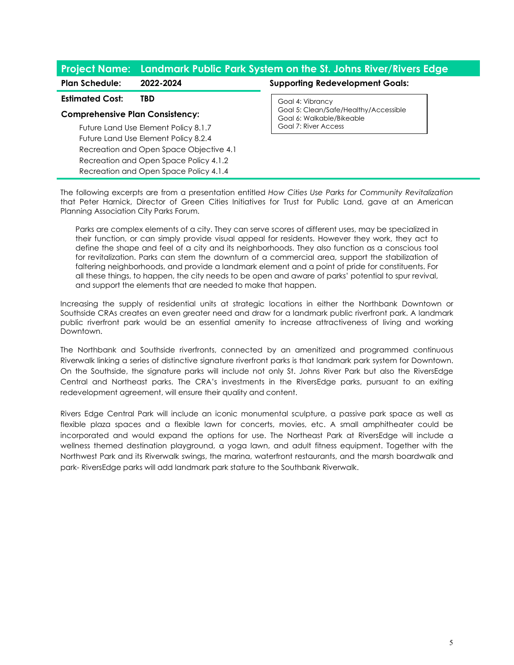# **Project Name: Landmark Public Park System on the St. Johns River/Rivers Edge**

**Estimated Cost: TBD**

### **Comprehensive Plan Consistency:**

Future Land Use Element Policy 8.1.7 Future Land Use Element Policy 8.2.4 Recreation and Open Space Objective 4.1 Recreation and Open Space Policy 4.1.2 Recreation and Open Space Policy 4.1.4

## **Plan Schedule: 2022-2024 Supporting Redevelopment Goals:**

Goal 4: Vibrancy Goal 5: Clean/Safe/Healthy/Accessible Goal 6: Walkable/Bikeable Goal 7: River Access

The following excerpts are from a presentation entitled *How Cities Use Parks for Community Revitalization* that Peter Harnick, Director of Green Cities Initiatives for Trust for Public Land, gave at an American Planning Association City Parks Forum.

Parks are complex elements of a city. They can serve scores of different uses, may be specialized in their function, or can simply provide visual appeal for residents. However they work, they act to define the shape and feel of a city and its neighborhoods. They also function as a conscious tool for revitalization. Parks can stem the downturn of a commercial area, support the stabilization of faltering neighborhoods, and provide a landmark element and a point of pride for constituents. For all these things, to happen, the city needs to be open and aware of parks' potential to spur revival, and support the elements that are needed to make that happen.

Increasing the supply of residential units at strategic locations in either the Northbank Downtown or Southside CRAs creates an even greater need and draw for a landmark public riverfront park. A landmark public riverfront park would be an essential amenity to increase attractiveness of living and working Downtown.

The Northbank and Southside riverfronts, connected by an amenitized and programmed continuous Riverwalk linking a series of distinctive signature riverfront parks is that landmark park system for Downtown. On the Southside, the signature parks will include not only St. Johns River Park but also the RiversEdge Central and Northeast parks. The CRA's investments in the RiversEdge parks, pursuant to an exiting redevelopment agreement, will ensure their quality and content.

Rivers Edge Central Park will include an iconic monumental sculpture, a passive park space as well as flexible plaza spaces and a flexible lawn for concerts, movies, etc. A small amphitheater could be incorporated and would expand the options for use. The Northeast Park at RiversEdge will include a wellness themed destination playground, a yoga lawn, and adult fitness equipment. Together with the Northwest Park and its Riverwalk swings, the marina, waterfront restaurants, and the marsh boardwalk and park- RiversEdge parks will add landmark park stature to the Southbank Riverwalk.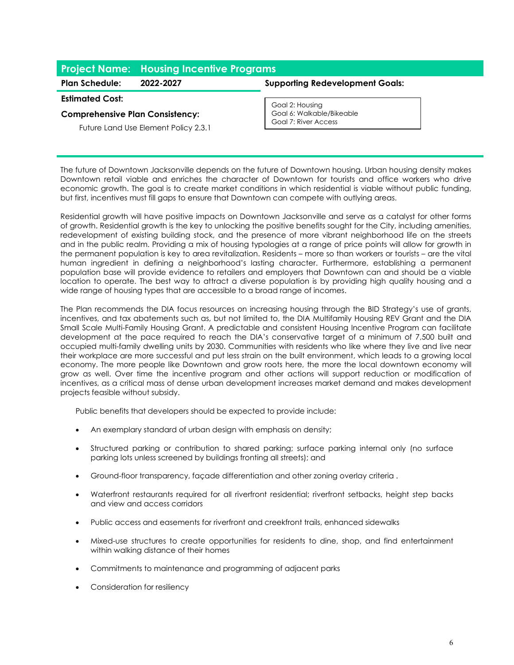# **Project Name: Housing Incentive Programs**

# **Estimated Cost:**

# **Comprehensive Plan Consistency:**

Future Land Use Element Policy 2.3.1

# **Plan Schedule: 2022-2027 Supporting Redevelopment Goals:**

Goal 2: Housing Goal 6: Walkable/Bikeable Goal 7: River Access

The future of Downtown Jacksonville depends on the future of Downtown housing. Urban housing density makes Downtown retail viable and enriches the character of Downtown for tourists and office workers who drive economic growth. The goal is to create market conditions in which residential is viable without public funding, but first, incentives must fill gaps to ensure that Downtown can compete with outlying areas.

Residential growth will have positive impacts on Downtown Jacksonville and serve as a catalyst for other forms of growth. Residential growth is the key to unlocking the positive benefits sought for the City, including amenities, redevelopment of existing building stock, and the presence of more vibrant neighborhood life on the streets and in the public realm. Providing a mix of housing typologies at a range of price points will allow for growth in the permanent population is key to area revitalization. Residents – more so than workers or tourists – are the vital human ingredient in defining a neighborhood's lasting character. Furthermore, establishing a permanent population base will provide evidence to retailers and employers that Downtown can and should be a viable location to operate. The best way to attract a diverse population is by providing high quality housing and a wide range of housing types that are accessible to a broad range of incomes.

The Plan recommends the DIA focus resources on increasing housing through the BID Strategy's use of grants, incentives, and tax abatements such as, but not limited to, the DIA Multifamily Housing REV Grant and the DIA Small Scale Multi-Family Housing Grant. A predictable and consistent Housing Incentive Program can facilitate development at the pace required to reach the DIA's conservative target of a minimum of 7,500 built and occupied multi-family dwelling units by 2030. Communities with residents who like where they live and live near their workplace are more successful and put less strain on the built environment, which leads to a growing local economy. The more people like Downtown and grow roots here, the more the local downtown economy will grow as well. Over time the incentive program and other actions will support reduction or modification of incentives, as a critical mass of dense urban development increases market demand and makes development projects feasible without subsidy.

Public benefits that developers should be expected to provide include:

- An exemplary standard of urban design with emphasis on density;
- Structured parking or contribution to shared parking; surface parking internal only (no surface parking lots unless screened by buildings fronting all streets); and
- Ground-floor transparency, façade differentiation and other zoning overlay criteria .
- Waterfront restaurants required for all riverfront residential; riverfront setbacks, height step backs and view and access corridors
- Public access and easements for riverfront and creekfront trails, enhanced sidewalks
- Mixed-use structures to create opportunities for residents to dine, shop, and find entertainment within walking distance of their homes
- Commitments to maintenance and programming of adjacent parks
- Consideration for resiliency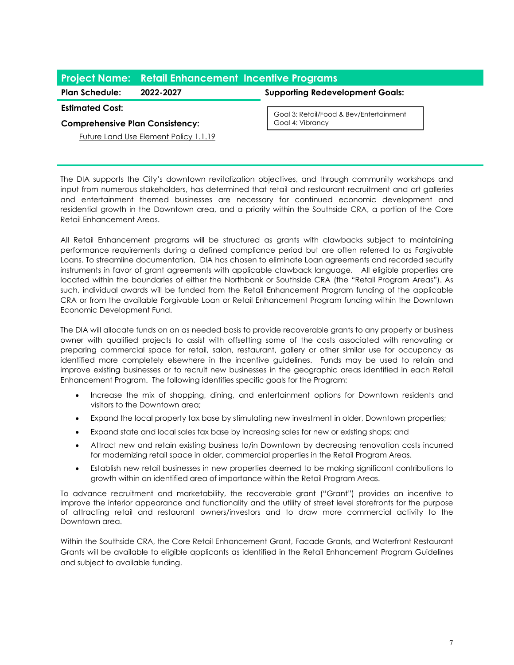# **Project Name: Retail Enhancement Incentive Programs**

# **Plan Schedule: 2022-2027 Supporting Redevelopment Goals:**

#### **Estimated Cost:**

## **Comprehensive Plan Consistency:**

Goal 3: Retail/Food & Bev/Entertainment Goal 4: Vibrancy

Future Land Use Element Policy 1.1.19

The DIA supports the City's downtown revitalization objectives, and through community workshops and input from numerous stakeholders, has determined that retail and restaurant recruitment and art galleries and entertainment themed businesses are necessary for continued economic development and residential growth in the Downtown area, and a priority within the Southside CRA, a portion of the Core Retail Enhancement Areas.

All Retail Enhancement programs will be structured as grants with clawbacks subject to maintaining performance requirements during a defined compliance period but are often referred to as Forgivable Loans. To streamline documentation, DIA has chosen to eliminate Loan agreements and recorded security instruments in favor of grant agreements with applicable clawback language. All eligible properties are located within the boundaries of either the Northbank or Southside CRA (the "Retail Program Areas"). As such, individual awards will be funded from the Retail Enhancement Program funding of the applicable CRA or from the available Forgivable Loan or Retail Enhancement Program funding within the Downtown Economic Development Fund.

The DIA will allocate funds on an as needed basis to provide recoverable grants to any property or business owner with qualified projects to assist with offsetting some of the costs associated with renovating or preparing commercial space for retail, salon, restaurant, gallery or other similar use for occupancy as identified more completely elsewhere in the incentive guidelines. Funds may be used to retain and improve existing businesses or to recruit new businesses in the geographic areas identified in each Retail Enhancement Program. The following identifies specific goals for the Program:

- Increase the mix of shopping, dining, and entertainment options for Downtown residents and visitors to the Downtown area;
- Expand the local property tax base by stimulating new investment in older, Downtown properties;
- Expand state and local sales tax base by increasing sales for new or existing shops; and
- Attract new and retain existing business to/in Downtown by decreasing renovation costs incurred for modernizing retail space in older, commercial properties in the Retail Program Areas.
- Establish new retail businesses in new properties deemed to be making significant contributions to growth within an identified area of importance within the Retail Program Areas.

To advance recruitment and marketability, the recoverable grant ("Grant") provides an incentive to improve the interior appearance and functionality and the utility of street level storefronts for the purpose of attracting retail and restaurant owners/investors and to draw more commercial activity to the Downtown area.

Within the Southside CRA, the Core Retail Enhancement Grant, Facade Grants, and Waterfront Restaurant Grants will be available to eligible applicants as identified in the Retail Enhancement Program Guidelines and subject to available funding.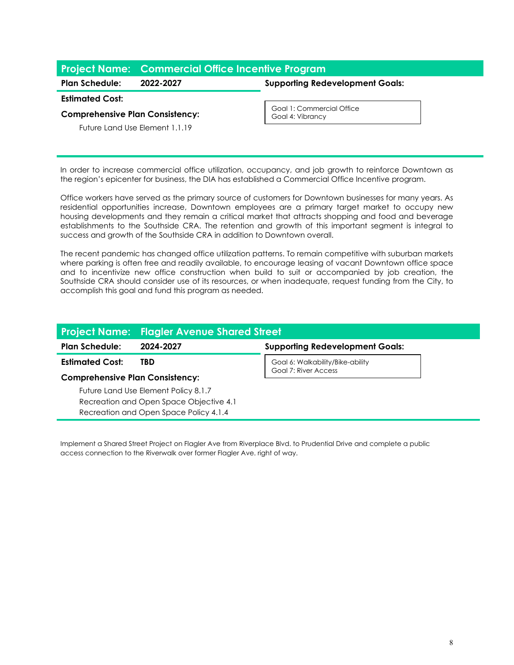# **Project Name: Commercial Office Incentive Program**

**Plan Schedule: 2022-2027 Supporting Redevelopment Goals:**

#### **Estimated Cost:**

#### **Comprehensive Plan Consistency:**

Future Land Use Element 1.1.19

Goal 1: Commercial Office Goal 4: Vibrancy

In order to increase commercial office utilization, occupancy, and job growth to reinforce Downtown as the region's epicenter for business, the DIA has established a Commercial Office Incentive program.

Office workers have served as the primary source of customers for Downtown businesses for many years. As residential opportunities increase, Downtown employees are a primary target market to occupy new housing developments and they remain a critical market that attracts shopping and food and beverage establishments to the Southside CRA. The retention and growth of this important segment is integral to success and growth of the Southside CRA in addition to Downtown overall.

The recent pandemic has changed office utilization patterns. To remain competitive with suburban markets where parking is often free and readily available, to encourage leasing of vacant Downtown office space and to incentivize new office construction when build to suit or accompanied by job creation, the Southside CRA should consider use of its resources, or when inadequate, request funding from the City, to accomplish this goal and fund this program as needed.

|                                         | <b>Project Name: Flagler Avenue Shared Street</b> |                                                          |  |
|-----------------------------------------|---------------------------------------------------|----------------------------------------------------------|--|
| <b>Plan Schedule:</b>                   | 2024-2027                                         | <b>Supporting Redevelopment Goals:</b>                   |  |
| <b>Estimated Cost:</b>                  | TBD                                               | Goal 6: Walkability/Bike-ability<br>Goal 7: River Access |  |
| <b>Comprehensive Plan Consistency:</b>  |                                                   |                                                          |  |
|                                         | Future Land Use Element Policy 8.1.7              |                                                          |  |
| Recreation and Open Space Objective 4.1 |                                                   |                                                          |  |
|                                         | Recreation and Open Space Policy 4.1.4            |                                                          |  |

Implement a Shared Street Project on Flagler Ave from Riverplace Blvd. to Prudential Drive and complete a public access connection to the Riverwalk over former Flagler Ave. right of way.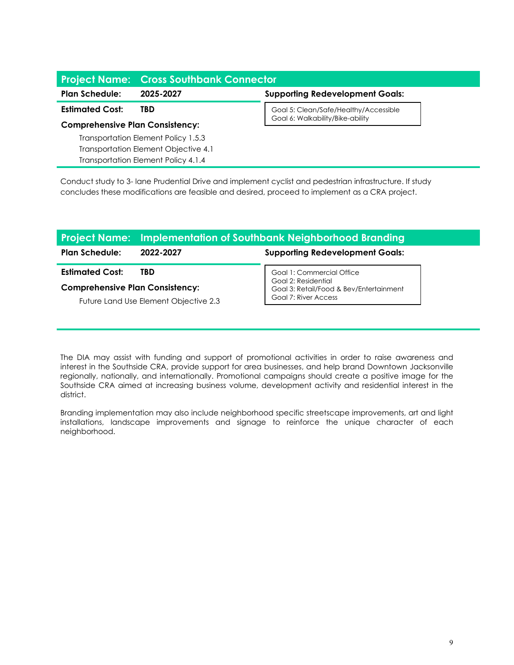# **Project Name: Cross Southbank Connector Plan Schedule: 2025-2027 Supporting Redevelopment Goals: Estimated Cost: TBD Comprehensive Plan Consistency:** Transportation Element Policy 1.5.3 Transportation Element Objective 4.1 Goal 5: Clean/Safe/Healthy/Accessible Goal 6: Walkability/Bike-ability

Conduct study to 3- lane Prudential Drive and implement cyclist and pedestrian infrastructure. If study concludes these modifications are feasible and desired, proceed to implement as a CRA project.

Transportation Element Policy 4.1.4

|                                        | <b>Project Name:</b> Implementation of Southbank Neighborhood Branding |                                                  |  |
|----------------------------------------|------------------------------------------------------------------------|--------------------------------------------------|--|
| <b>Plan Schedule:</b>                  | 2022-2027                                                              | <b>Supporting Redevelopment Goals:</b>           |  |
| <b>Estimated Cost:</b>                 | TBD                                                                    | Goal 1: Commercial Office<br>Goal 2: Residential |  |
| <b>Comprehensive Plan Consistency:</b> |                                                                        | Goal 3: Retail/Food & Bev/Entertainment          |  |
| Future Land Use Element Objective 2.3  |                                                                        | Goal 7: River Access                             |  |

The DIA may assist with funding and support of promotional activities in order to raise awareness and interest in the Southside CRA, provide support for area businesses, and help brand Downtown Jacksonville regionally, nationally, and internationally. Promotional campaigns should create a positive image for the Southside CRA aimed at increasing business volume, development activity and residential interest in the district.

Branding implementation may also include neighborhood specific streetscape improvements, art and light installations, landscape improvements and signage to reinforce the unique character of each neighborhood.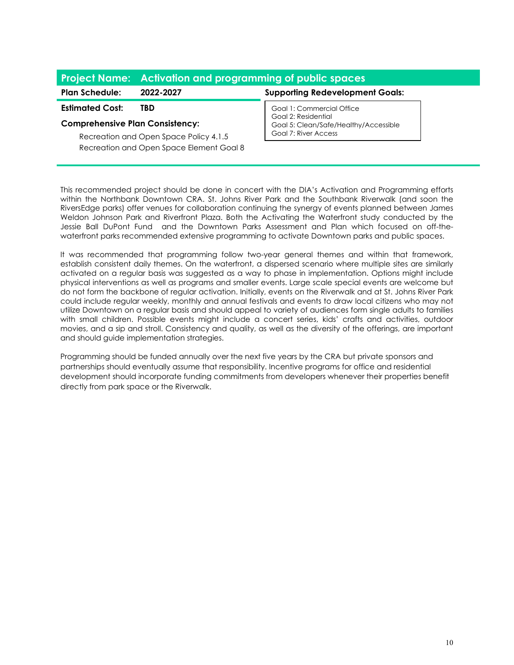# **Project Name: Activation and programming of public spaces**

**Estimated Cost: TBD**

# **Comprehensive Plan Consistency:**

Recreation and Open Space Policy 4.1.5 Recreation and Open Space Element Goal 8

**Plan Schedule: 2022-2027 Supporting Redevelopment Goals:**

Goal 1: Commercial Office Goal 2: Residential Goal 5: Clean/Safe/Healthy/Accessible Goal 7: River Access

This recommended project should be done in concert with the DIA's Activation and Programming efforts within the Northbank Downtown CRA. St. Johns River Park and the Southbank Riverwalk (and soon the RiversEdge parks) offer venues for collaboration continuing the synergy of events planned between James Weldon Johnson Park and Riverfront Plaza. Both the Activating the Waterfront study conducted by the Jessie Ball DuPont Fund and the Downtown Parks Assessment and Plan which focused on off-thewaterfront parks recommended extensive programming to activate Downtown parks and public spaces.

It was recommended that programming follow two-year general themes and within that framework, establish consistent daily themes. On the waterfront, a dispersed scenario where multiple sites are similarly activated on a regular basis was suggested as a way to phase in implementation. Options might include physical interventions as well as programs and smaller events. Large scale special events are welcome but do not form the backbone of regular activation. Initially, events on the Riverwalk and at St. Johns River Park could include regular weekly, monthly and annual festivals and events to draw local citizens who may not utilize Downtown on a regular basis and should appeal to variety of audiences form single adults to families with small children. Possible events might include a concert series, kids' crafts and activities, outdoor movies, and a sip and stroll. Consistency and quality, as well as the diversity of the offerings, are important and should guide implementation strategies.

Programming should be funded annually over the next five years by the CRA but private sponsors and partnerships should eventually assume that responsibility. Incentive programs for office and residential development should incorporate funding commitments from developers whenever their properties benefit directly from park space or the Riverwalk.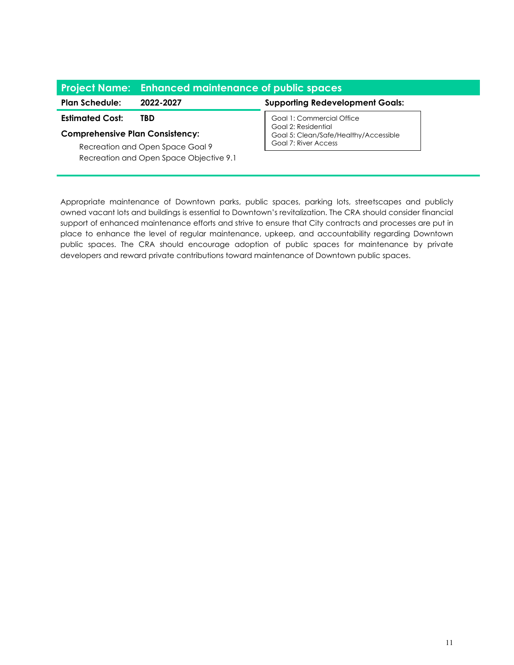|                                         | <b>Project Name:</b> Enhanced maintenance of public spaces |                                                              |  |
|-----------------------------------------|------------------------------------------------------------|--------------------------------------------------------------|--|
| <b>Plan Schedule:</b>                   | 2022-2027                                                  | <b>Supporting Redevelopment Goals:</b>                       |  |
| <b>Estimated Cost:</b>                  | TBD                                                        | Goal 1: Commercial Office                                    |  |
| <b>Comprehensive Plan Consistency:</b>  |                                                            | Goal 2: Residential<br>Goal 5: Clean/Safe/Healthy/Accessible |  |
| Recreation and Open Space Goal 9        |                                                            | Goal 7: River Access                                         |  |
| Recreation and Open Space Objective 9.1 |                                                            |                                                              |  |

Appropriate maintenance of Downtown parks, public spaces, parking lots, streetscapes and publicly owned vacant lots and buildings is essential to Downtown's revitalization. The CRA should consider financial support of enhanced maintenance efforts and strive to ensure that City contracts and processes are put in place to enhance the level of regular maintenance, upkeep, and accountability regarding Downtown public spaces. The CRA should encourage adoption of public spaces for maintenance by private developers and reward private contributions toward maintenance of Downtown public spaces.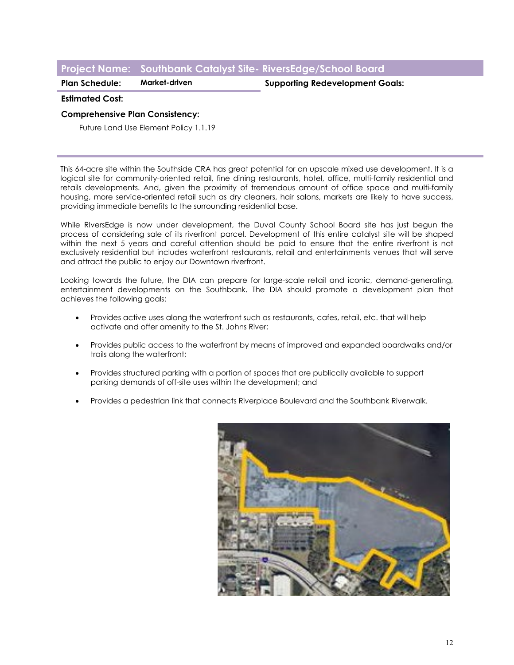# **Project Name: Southbank Catalyst Site- RiversEdge/School Board**

**Plan Schedule: Market-driven Supporting Redevelopment Goals:**

### **Estimated Cost:**

### **Comprehensive Plan Consistency:**

Future Land Use Element Policy 1.1.19

This 64-acre site within the Southside CRA has great potential for an upscale mixed use development. It is a logical site for community-oriented retail, fine dining restaurants, hotel, office, multi-family residential and retails developments. And, given the proximity of tremendous amount of office space and multi-family housing, more service-oriented retail such as dry cleaners, hair salons, markets are likely to have success, providing immediate benefits to the surrounding residential base.

While RIversEdge is now under development, the Duval County School Board site has just begun the process of considering sale of its riverfront parcel. Development of this entire catalyst site will be shaped within the next 5 years and careful attention should be paid to ensure that the entire riverfront is not exclusively residential but includes waterfront restaurants, retail and entertainments venues that will serve and attract the public to enjoy our Downtown riverfront.

Looking towards the future, the DIA can prepare for large-scale retail and iconic, demand-generating, entertainment developments on the Southbank. The DIA should promote a development plan that achieves the following goals:

- Provides active uses along the waterfront such as restaurants, cafes, retail, etc. that will help activate and offer amenity to the St. Johns River;
- Provides public access to the waterfront by means of improved and expanded boardwalks and/or trails along the waterfront;
- Provides structured parking with a portion of spaces that are publically available to support parking demands of off-site uses within the development; and
- Provides a pedestrian link that connects Riverplace Boulevard and the Southbank Riverwalk.